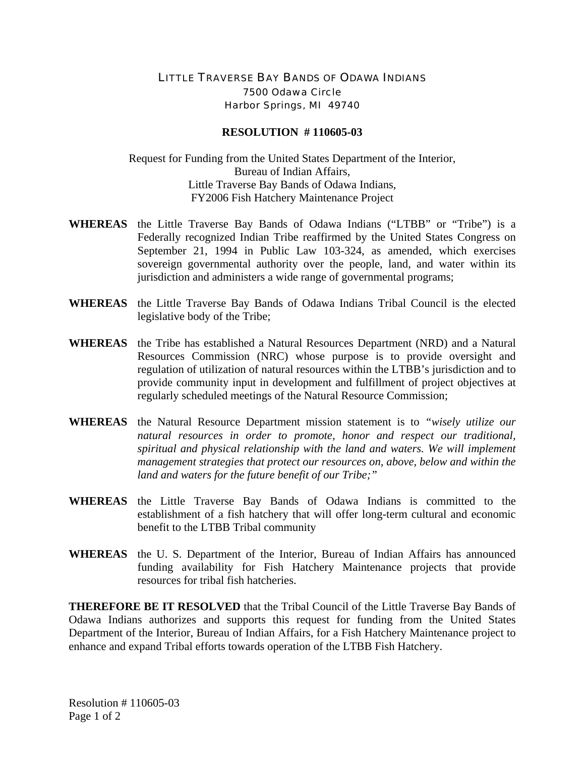## LITTLE TRAVERSE BAY BANDS OF ODAWA INDIANS 7500 Odawa Circle Harbor Springs, MI 49740

## **RESOLUTION # 110605-03**

Request for Funding from the United States Department of the Interior, Bureau of Indian Affairs, Little Traverse Bay Bands of Odawa Indians, FY2006 Fish Hatchery Maintenance Project

- **WHEREAS** the Little Traverse Bay Bands of Odawa Indians ("LTBB" or "Tribe") is a Federally recognized Indian Tribe reaffirmed by the United States Congress on September 21, 1994 in Public Law 103-324, as amended, which exercises sovereign governmental authority over the people, land, and water within its jurisdiction and administers a wide range of governmental programs;
- **WHEREAS** the Little Traverse Bay Bands of Odawa Indians Tribal Council is the elected legislative body of the Tribe;
- **WHEREAS** the Tribe has established a Natural Resources Department (NRD) and a Natural Resources Commission (NRC) whose purpose is to provide oversight and regulation of utilization of natural resources within the LTBB's jurisdiction and to provide community input in development and fulfillment of project objectives at regularly scheduled meetings of the Natural Resource Commission;
- **WHEREAS** the Natural Resource Department mission statement is to *"wisely utilize our natural resources in order to promote, honor and respect our traditional, spiritual and physical relationship with the land and waters. We will implement management strategies that protect our resources on, above, below and within the land and waters for the future benefit of our Tribe;"*
- **WHEREAS** the Little Traverse Bay Bands of Odawa Indians is committed to the establishment of a fish hatchery that will offer long-term cultural and economic benefit to the LTBB Tribal community
- **WHEREAS** the U. S. Department of the Interior, Bureau of Indian Affairs has announced funding availability for Fish Hatchery Maintenance projects that provide resources for tribal fish hatcheries.

**THEREFORE BE IT RESOLVED** that the Tribal Council of the Little Traverse Bay Bands of Odawa Indians authorizes and supports this request for funding from the United States Department of the Interior, Bureau of Indian Affairs, for a Fish Hatchery Maintenance project to enhance and expand Tribal efforts towards operation of the LTBB Fish Hatchery.